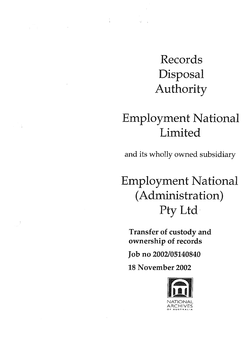Records Disposal Authority

 $\frac{1}{4}$ 

 $\sim 10^7$ 

 $\label{eq:2.1} \frac{1}{4}\left(\frac{1}{\sqrt{2}}\right)^{2} \left(\frac{1}{2}\right)^{2} \left(\frac{1}{2}\right)^{2} \left(\frac{1}{2}\right)^{2} \left(\frac{1}{2}\right)^{2} \left(\frac{1}{2}\right)^{2} \left(\frac{1}{2}\right)^{2} \left(\frac{1}{2}\right)^{2} \left(\frac{1}{2}\right)^{2} \left(\frac{1}{2}\right)^{2} \left(\frac{1}{2}\right)^{2} \left(\frac{1}{2}\right)^{2} \left(\frac{1}{2}\right)^{2} \left(\frac{1}{2}\right)^{2} \left(\frac{$ 

# Employment National Limited

and its wholly owned subsidiary

# Employment National (Administration) Pty Ltd

Transfer of custody and ownership of records Job no *2002/05140840*  18 November 2002

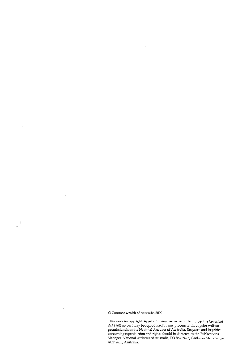© Commonwealth of Australia 2002

 $\mathcal{A}$ 

 $\frac{1}{2}$ 

 $\sim$ 

 $\mathcal{A}^{(1)}$ 

 $\sim$ 

TIlls work is copyright. Apart *hom* any use as permitted under the *Copyright Act* 1968, no part may be reproduced by any process without prior written permission from the National Archives of Australia. Requests and inquiries concerning reproduction and rights should be directed to the Publications Manager, National Archives of Australia, PO Box 7425, Canberra Mail Centre ACT 2610, Australia.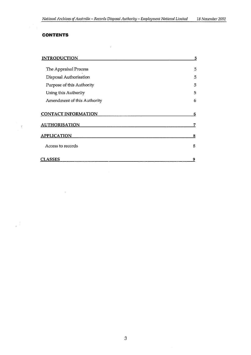### **CONTENTS**

 $\mathcal{A}^{\mathcal{A}}$ 

 $\label{eq:2} \begin{array}{c} \mathcal{L}_{\text{eff}} \\ \mathcal{L}_{\text{eff}} \\ \mathcal{L}_{\text{eff}} \end{array}$ 

 $\begin{array}{c} \frac{1}{2} \left( \frac{1}{2} \right) \\ \frac{1}{2} \left( \frac{1}{2} \right) \end{array}$ 

 $\frac{1}{\sigma^2}$ 

| <b>INTRODUCTION</b>         | 5 |
|-----------------------------|---|
|                             |   |
| The Appraisal Process       | 5 |
| Disposal Authorisation      | 5 |
| Purpose of this Authority   | 5 |
| Using this Authority        | 5 |
| Amendment of this Authority | 6 |
|                             |   |
| <b>CONTACT INFORMATION</b>  | 6 |
| <b>AUTHORISATION</b>        | 7 |
| <b>APPLICATION</b>          | 8 |
| Access to records           | 8 |
| <b>CLASSES</b>              | 9 |

 $\hat{\mathcal{A}}$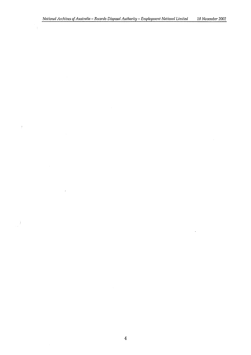$\frac{1}{3}$ 

 $\frac{1}{2}$ 

 $\frac{1}{\sqrt{2}}$ 

 $\mathcal{A}$ 

 $\bar{r}$ 

4

 $\bar{z}$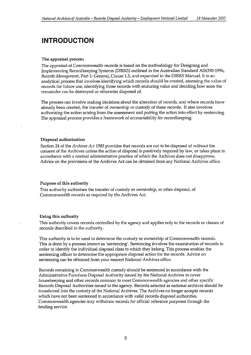### **INTRODUCTION**

### The appraisal process

The appraisal of Commonwealth records is based on the methodology for Designing and Implementing Recordkeeping Systems (DIRKS) outlined in the Australian Standard AS4390-1996, *RecordsManagement,* Part 1: General, Clause 1.3, and expanded in the DIRKS Manual. It is an analytical process that involves identifying which records should be created, assessing the value of records for future use, identifying those records with enduring value and deciding how soon the remalnder can be destroyed or otherwise disposed of.

The process can involve making decisions about the alteration of records, and where records have already been created, the transfer of ownership or custody of these records. It also involves authorising the action arising from the assessment and putting the action into effect by sentencing. The appraisal process provides a framework of accountability for recordkeeping.

### Disposal authorisation

Section 24 of the *Archives Act* 1983 provides that records are not to be disposed of without the consent of the Archives unless the action of disposal is positively required by law, or takes place in accordance with a normal administrative practice of which the Archives does not disapprove. Advice on the provisions of the Archives Act can be obtained from any National Archives office.

#### Purpose of this authority

This authority authorises the transfer of custody or ownership, or other disposal, of Commonwealth records as required by the Archives Act.

### Using this authority

This authority covers records controlled by the agency and applies only to the records or classes of records described in the authority.

This authority is to be used to determine the custody or ownership of Commonwealth records. This is done by a process known as 'sentencing'. Sentencing involves the examination of records in order to identify the individual disposal class to which they belong. This process enables the sentencing officer to determine the appropriate disposal action for the records. Advice on sentencing can be obtained from your nearest National Archives office.

Records remalning in Commonwealth custody should be sentenced in accordance with the Administrative Functions Disposal Authority issued by the National Archives to cover housekeeping and other records common to most Commonwealth agencies and other specific Records Disposal Authorities issued to the agency. Records selected as national archives should be transferred into the custody of the National Archives. TIle Archives no longer accepts records which have not been sentenced in accordance with valid records disposal authorities. Commonwealth agencies may withdraw records for official reference purposes through the lending service.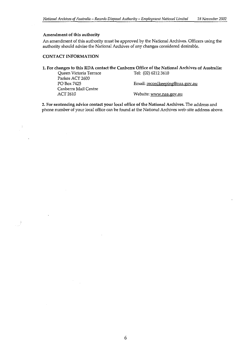### Amendment of this authority

An amendment of this authority must be approved by the National Archives. Officers using the authority should advise the National Archives of any changes considered desirable.

### CONTACT INFORMATION

 $\left\langle \frac{1}{\sqrt{2\pi}}\right\rangle _{0}$ 

## 1. For changes to this RDA contact the Canberra Office of the National Archives of Australia:<br>Queen Victoria Terrace Tel: (02) 6212 3610

Queen Victoria Terrace Parkes ACT 2600<br>PO Box 7425 Canberra Mail Centre

Email: recordkeeping@naa.gov.au

Website: www.naa.gov.au

2. For sentencing advice contact your local office of the National Archives. The address and phone number of your local office can be found at the National Archives web-site address above.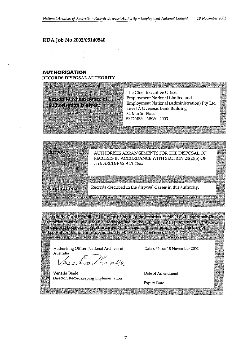### RDA **Job** No 2002{05140840

### **AUTHORISATION** RECORDS DISPOSAL AUTHORITY

Person to whom in iter of audionsalion is siven-

The Chief Executive Officer Employment National Limited and Employment National (Administration) Pty Ltd Level 7, Overseas Bank Building 32 Martin Place SYDNEY NSW 2000

**Migotse** 

AUTHORISES ARRANGEMENTS FOR THE DISPOSAL OF RECORDS IN ACCORDANCE WITH SECTION 24(2)(b) OF THE ARCHIVES ACT 1983

Application

Records described in the disposal classes in this authority.

This authorisation applies to only the disposal of the records described on the authority in accordance with the clisposal action specified on the authority. The authority will apply only If disposal takes place with the consent of the agency that is responsible at the time of disposal for the functions decimented in the records concerned.

Authorising Officer, National Archives of Australia

Eell 'av

Venetia Beale Director, Recordkeeping Implementation Date of Issue 18 November 2002

Date of Amendment

**Expiry Date**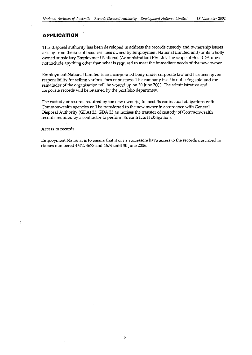### **APPLICATION**

This disposal authority has been developed to address the records custody and ownership issues arising from the sale of business lines owned by Employment National Limited and/or its wholly owned subsidiary Employment National (Administration) Pty Ltd. The scope of this RDA does not include anything other than what is required to meet the immediate needs of the new owner.

Employment National Limited is an incorporated body under corporate law and has been given responsibility for selling various lines of business. The company itself is not being sold and the remainder of the organisation will be wound up on 30 June 2003. The administrative and corporate records will be retained by the portfolio department.

The custody of records required by the new owner(s) to meet its contractual obligations with Commonwealth agencies will be transferred to the new owner in accordance with General Disposal Authority (GDA) 25. GDA 25 authorises the transfer of custody of Commonwealth records required by a contractor to perform its contractual obligations,

#### Access to records

Employment National is to ensure that it or its successors have access to the records described in classes numbered 4672, 4673 and 4674 until 30 June 2006.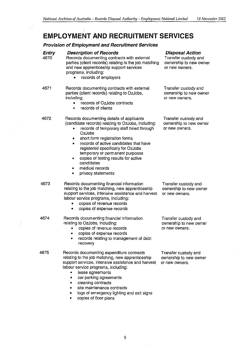## **EMPLOYMENT AND RECRUITMENT SERVICES**

### **Provision of Employment and Recruitment Services**

 $\frac{1}{\sqrt{2}}$ 

- 1

 $\frac{1}{2}$ 

| r royision or Employment and Heel alment ocrylocs |                                                                                                                                                                                                                                                                                                                                                                                                                                   |                                                                                            |  |  |
|---------------------------------------------------|-----------------------------------------------------------------------------------------------------------------------------------------------------------------------------------------------------------------------------------------------------------------------------------------------------------------------------------------------------------------------------------------------------------------------------------|--------------------------------------------------------------------------------------------|--|--|
| Entry<br>4670                                     | <b>Description of Records</b><br>Records documenting contracts with external<br>parties (client records) relating to the job matching<br>and new apprenticeship support services<br>programs, including:<br>records of employers                                                                                                                                                                                                  | <b>Disposal Action</b><br>Transfer custody and<br>ownership to new owner<br>or new owners. |  |  |
| 4671                                              | Records documenting contracts with external<br>parties (client records) relating to OzJobs,<br>including:<br>records of OzJobs contracts<br>۰<br>records of clients<br>۰                                                                                                                                                                                                                                                          | Transfer custody and<br>ownership to new owner<br>or new owners.                           |  |  |
| 4672                                              | Records documenting details of applicants<br>(candidate records) relating to OzJobs, including:<br>records of temporary staff hired through<br>OzJobs<br>short form registration forms<br>۰<br>records of active candidates that have<br>۰<br>registered specifically for OzJobs<br>temporary or permanent purposes<br>copies of testing results for active<br>۰<br>candidates<br>medical records<br>۰<br>privacy statements<br>۰ | Transfer custody and<br>ownership to new owner<br>or new owners.                           |  |  |
| 4673                                              | Records documenting financial information<br>relating to the job matching, new apprenticeship<br>support services, intensive assistance and harvest<br>labour service programs, including:<br>copies of revenue records<br>۰<br>copies of expense records<br>۰                                                                                                                                                                    | Transfer custody and<br>ownership to new owner<br>or new owners.                           |  |  |
| 4674                                              | Records documenting financial information<br>relating to OzJobs, including:<br>copies of revenue records<br>copies of expense records<br>records relating to management of debt<br>recovery                                                                                                                                                                                                                                       | Transfer custody and<br>ownership to new owner<br>or new owners.                           |  |  |
| 4675                                              | Records documenting expenditure contracts<br>relating to the job matching, new apprenticeship<br>support services, intensive assistance and harvest<br>labour service programs, including:<br>lease agreements<br>$\bullet$<br>car parking agreements<br>۰<br>cleaning contracts<br>۰<br>site maintenance contracts<br>۰<br>logs of emergency lighting and exit signs<br>۰<br>copies of floor plans<br>۰                          | Transfer custody and<br>ownership to new owner<br>or new owners.                           |  |  |

 $\alpha$ 

 $\mathcal{A}^{\pm}$